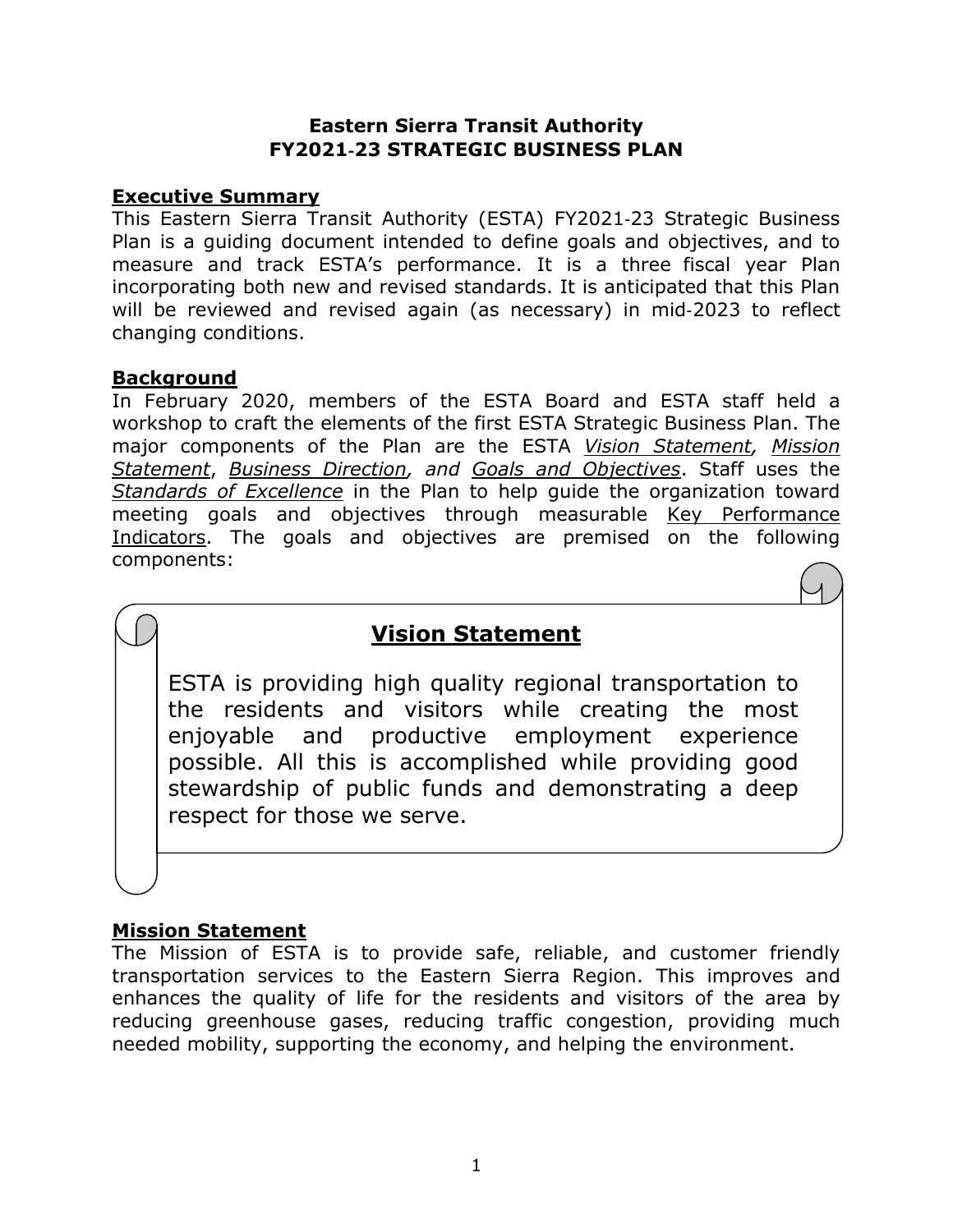### **Eastern Sierra Transit Authority FY2021**‐**23 STRATEGIC BUSINESS PLAN**

### **Executive Summary**

This Eastern Sierra Transit Authority (ESTA) FY2021‐23 Strategic Business Plan is a guiding document intended to define goals and objectives, and to measure and track ESTA's performance. It is a three fiscal year Plan incorporating both new and revised standards. It is anticipated that this Plan will be reviewed and revised again (as necessary) in mid‐2023 to reflect changing conditions.

### **Background**

In February 2020, members of the ESTA Board and ESTA staff held a workshop to craft the elements of the first ESTA Strategic Business Plan. The major components of the Plan are the ESTA *Vision Statement, Mission Statement*, *Business Direction, and Goals and Objectives*. Staff uses the *Standards of Excellence* in the Plan to help guide the organization toward meeting goals and objectives through measurable Key Performance Indicators. The goals and objectives are premised on the following components:

## **Vision Statement**

ESTA is providing high quality regional transportation to the residents and visitors while creating the most enjoyable and productive employment experience possible. All this is accomplished while providing good stewardship of public funds and demonstrating a deep respect for those we serve.

## **Mission Statement**

The Mission of ESTA is to provide safe, reliable, and customer friendly transportation services to the Eastern Sierra Region. This improves and enhances the quality of life for the residents and visitors of the area by reducing greenhouse gases, reducing traffic congestion, providing much needed mobility, supporting the economy, and helping the environment.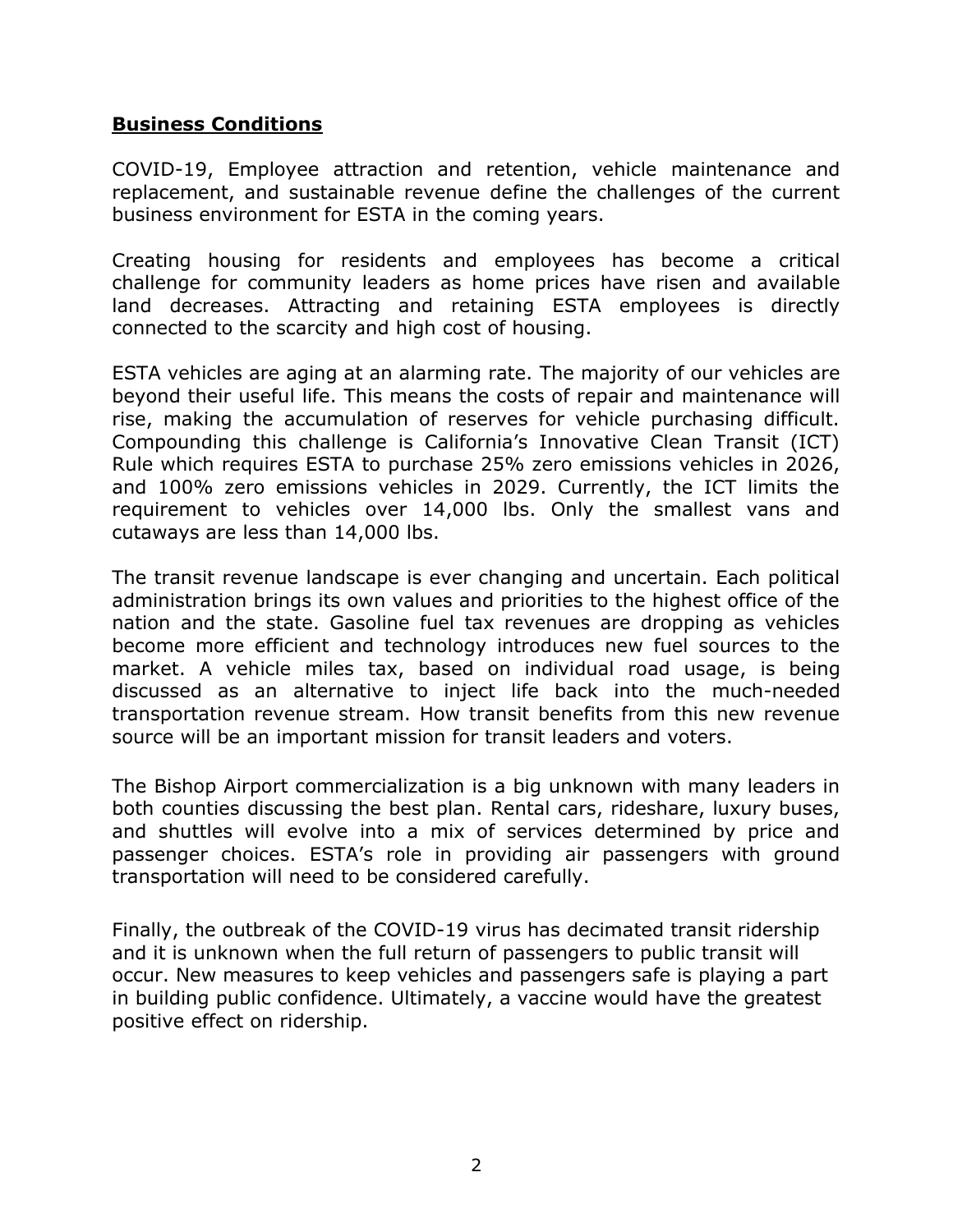#### **Business Conditions**

COVID-19, Employee attraction and retention, vehicle maintenance and replacement, and sustainable revenue define the challenges of the current business environment for ESTA in the coming years.

Creating housing for residents and employees has become a critical challenge for community leaders as home prices have risen and available land decreases. Attracting and retaining ESTA employees is directly connected to the scarcity and high cost of housing.

ESTA vehicles are aging at an alarming rate. The majority of our vehicles are beyond their useful life. This means the costs of repair and maintenance will rise, making the accumulation of reserves for vehicle purchasing difficult. Compounding this challenge is California's Innovative Clean Transit (ICT) Rule which requires ESTA to purchase 25% zero emissions vehicles in 2026, and 100% zero emissions vehicles in 2029. Currently, the ICT limits the requirement to vehicles over 14,000 lbs. Only the smallest vans and cutaways are less than 14,000 lbs.

The transit revenue landscape is ever changing and uncertain. Each political administration brings its own values and priorities to the highest office of the nation and the state. Gasoline fuel tax revenues are dropping as vehicles become more efficient and technology introduces new fuel sources to the market. A vehicle miles tax, based on individual road usage, is being discussed as an alternative to inject life back into the much-needed transportation revenue stream. How transit benefits from this new revenue source will be an important mission for transit leaders and voters.

The Bishop Airport commercialization is a big unknown with many leaders in both counties discussing the best plan. Rental cars, rideshare, luxury buses, and shuttles will evolve into a mix of services determined by price and passenger choices. ESTA's role in providing air passengers with ground transportation will need to be considered carefully.

Finally, the outbreak of the COVID-19 virus has decimated transit ridership and it is unknown when the full return of passengers to public transit will occur. New measures to keep vehicles and passengers safe is playing a part in building public confidence. Ultimately, a vaccine would have the greatest positive effect on ridership.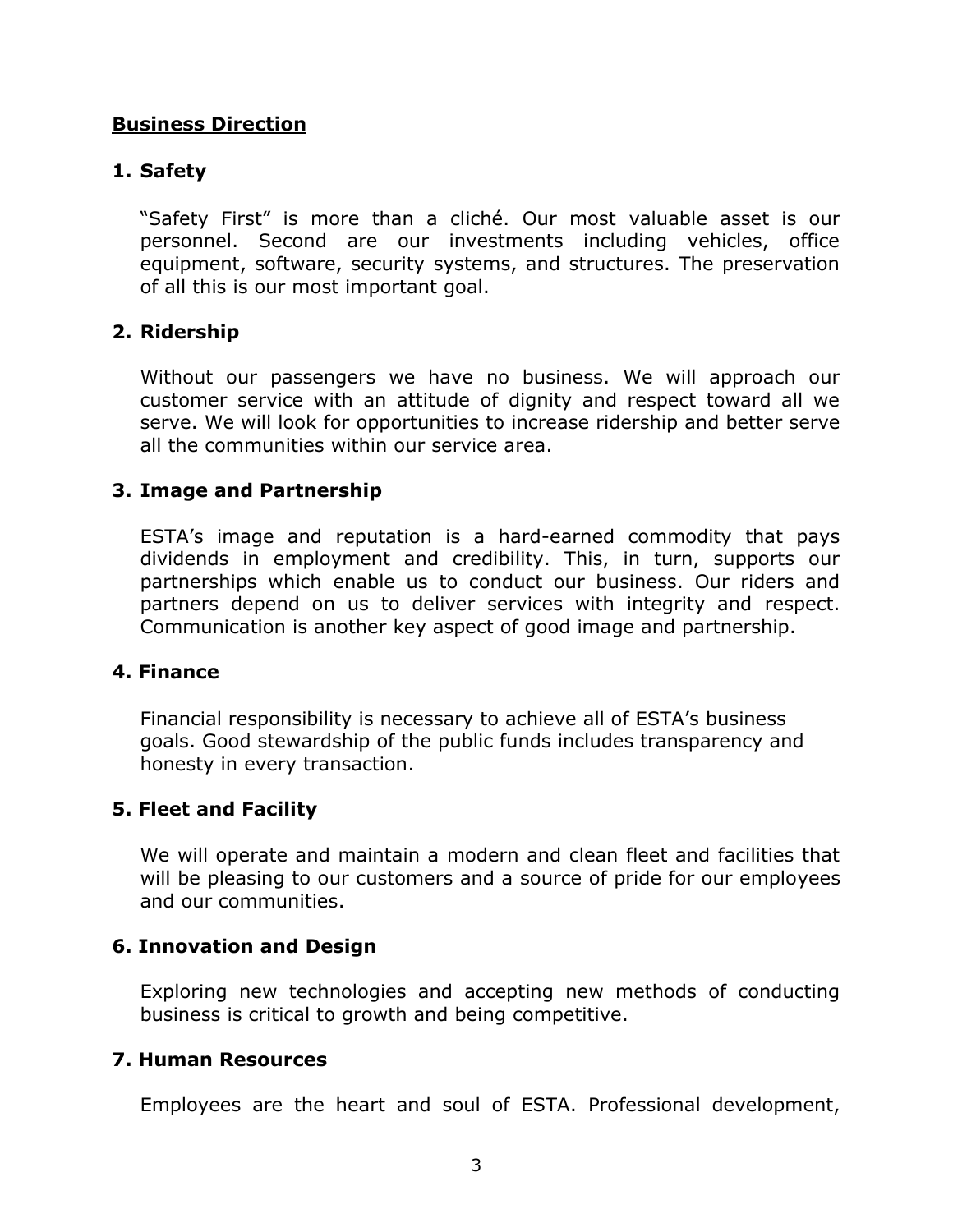#### **Business Direction**

#### **1. Safety**

"Safety First" is more than a cliché. Our most valuable asset is our personnel. Second are our investments including vehicles, office equipment, software, security systems, and structures. The preservation of all this is our most important goal.

#### **2. Ridership**

Without our passengers we have no business. We will approach our customer service with an attitude of dignity and respect toward all we serve. We will look for opportunities to increase ridership and better serve all the communities within our service area.

#### **3. Image and Partnership**

ESTA's image and reputation is a hard-earned commodity that pays dividends in employment and credibility. This, in turn, supports our partnerships which enable us to conduct our business. Our riders and partners depend on us to deliver services with integrity and respect. Communication is another key aspect of good image and partnership.

#### **4. Finance**

Financial responsibility is necessary to achieve all of ESTA's business goals. Good stewardship of the public funds includes transparency and honesty in every transaction.

#### **5. Fleet and Facility**

We will operate and maintain a modern and clean fleet and facilities that will be pleasing to our customers and a source of pride for our employees and our communities.

#### **6. Innovation and Design**

Exploring new technologies and accepting new methods of conducting business is critical to growth and being competitive.

#### **7. Human Resources**

Employees are the heart and soul of ESTA. Professional development,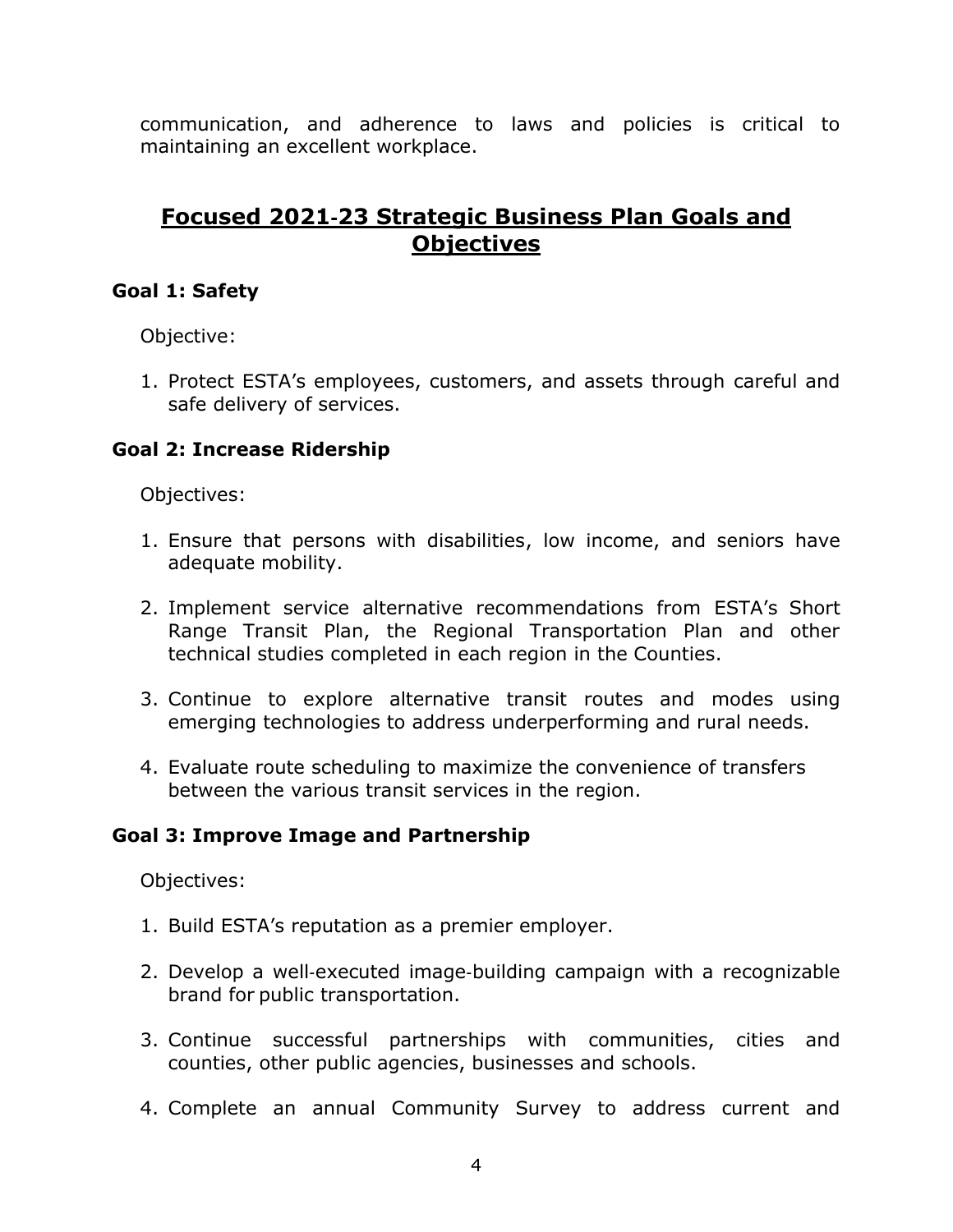communication, and adherence to laws and policies is critical to maintaining an excellent workplace.

## **Focused 2021**‐**23 Strategic Business Plan Goals and Objectives**

### **Goal 1: Safety**

Objective:

1. Protect ESTA's employees, customers, and assets through careful and safe delivery of services.

## **Goal 2: Increase Ridership**

Objectives:

- 1. Ensure that persons with disabilities, low income, and seniors have adequate mobility.
- 2. Implement service alternative recommendations from ESTA's Short Range Transit Plan, the Regional Transportation Plan and other technical studies completed in each region in the Counties.
- 3. Continue to explore alternative transit routes and modes using emerging technologies to address underperforming and rural needs.
- 4. Evaluate route scheduling to maximize the convenience of transfers between the various transit services in the region.

### **Goal 3: Improve Image and Partnership**

Objectives:

- 1. Build ESTA's reputation as a premier employer.
- 2. Develop a well‐executed image‐building campaign with a recognizable brand for public transportation.
- 3. Continue successful partnerships with communities, cities and counties, other public agencies, businesses and schools.
- 4. Complete an annual Community Survey to address current and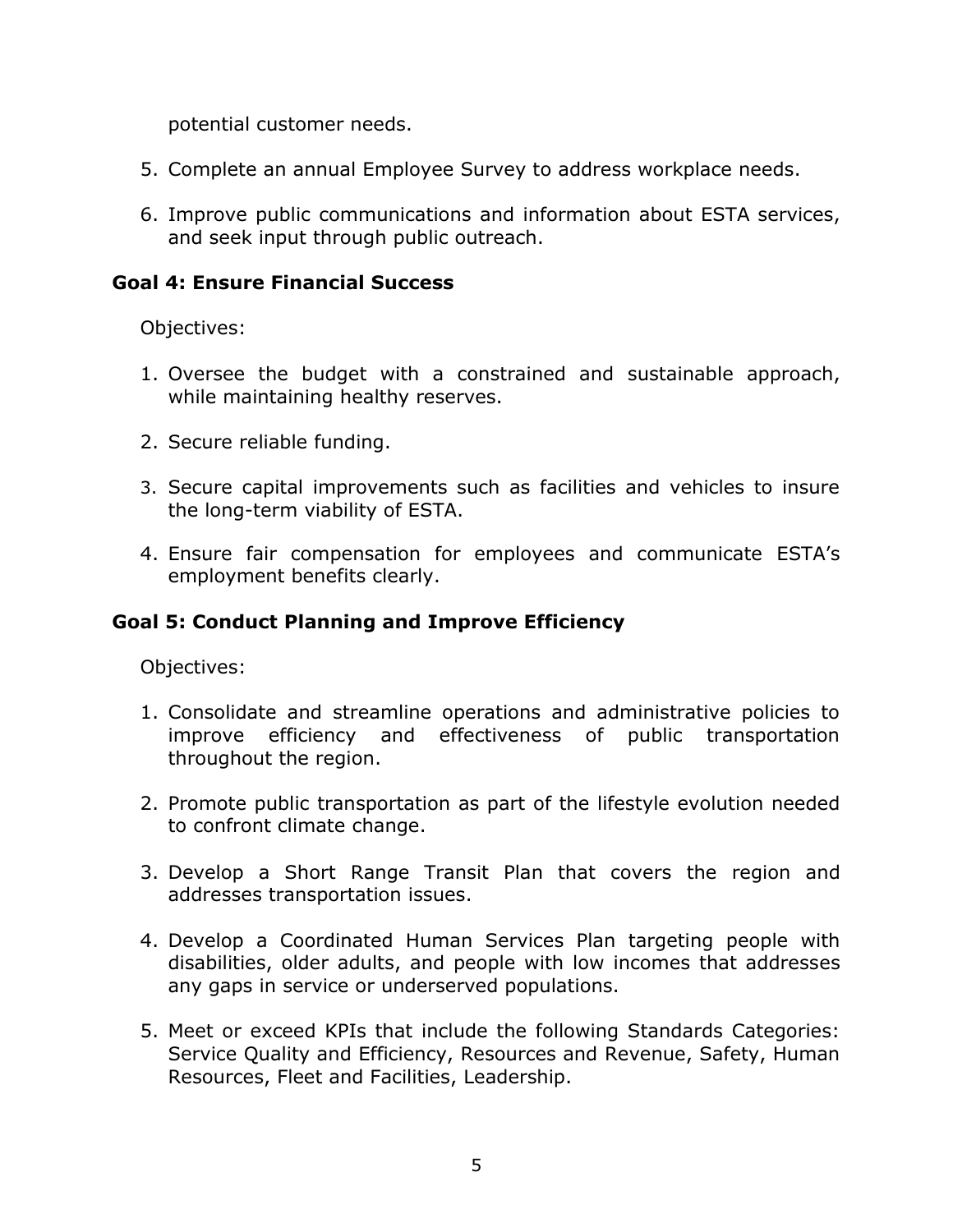potential customer needs.

- 5. Complete an annual Employee Survey to address workplace needs.
- 6. Improve public communications and information about ESTA services, and seek input through public outreach.

#### **Goal 4: Ensure Financial Success**

Objectives:

- 1. Oversee the budget with a constrained and sustainable approach, while maintaining healthy reserves.
- 2. Secure reliable funding.
- 3. Secure capital improvements such as facilities and vehicles to insure the long-term viability of ESTA.
- 4. Ensure fair compensation for employees and communicate ESTA's employment benefits clearly.

### **Goal 5: Conduct Planning and Improve Efficiency**

Objectives:

- 1. Consolidate and streamline operations and administrative policies to improve efficiency and effectiveness of public transportation throughout the region.
- 2. Promote public transportation as part of the lifestyle evolution needed to confront climate change.
- 3. Develop a Short Range Transit Plan that covers the region and addresses transportation issues.
- 4. Develop a Coordinated Human Services Plan targeting people with disabilities, older adults, and people with low incomes that addresses any gaps in service or underserved populations.
- 5. Meet or exceed KPIs that include the following Standards Categories: Service Quality and Efficiency, Resources and Revenue, Safety, Human Resources, Fleet and Facilities, Leadership.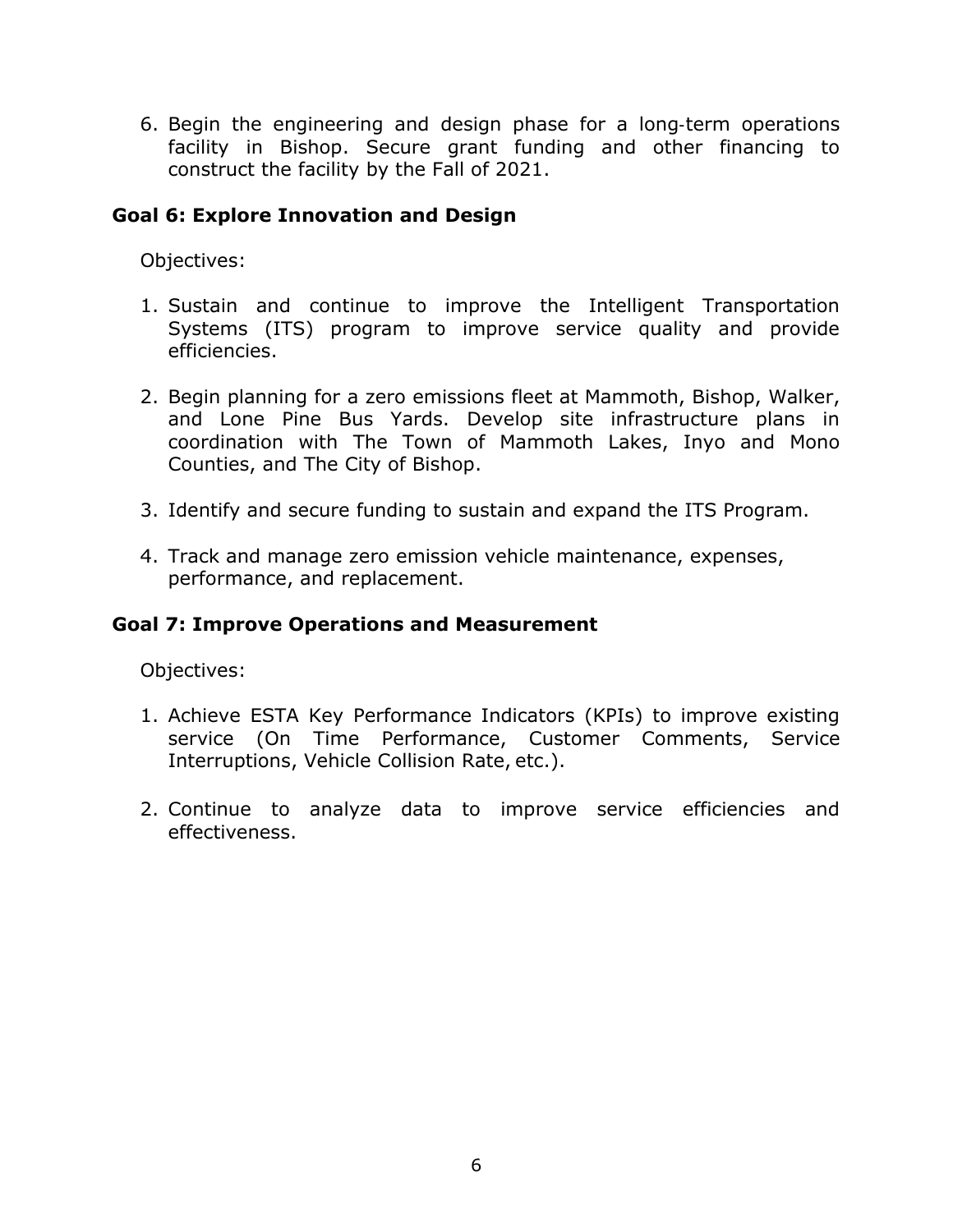6. Begin the engineering and design phase for a long‐term operations facility in Bishop. Secure grant funding and other financing to construct the facility by the Fall of 2021.

#### **Goal 6: Explore Innovation and Design**

Objectives:

- 1. Sustain and continue to improve the Intelligent Transportation Systems (ITS) program to improve service quality and provide efficiencies.
- 2. Begin planning for a zero emissions fleet at Mammoth, Bishop, Walker, and Lone Pine Bus Yards. Develop site infrastructure plans in coordination with The Town of Mammoth Lakes, Inyo and Mono Counties, and The City of Bishop.
- 3. Identify and secure funding to sustain and expand the ITS Program.
- 4. Track and manage zero emission vehicle maintenance, expenses, performance, and replacement.

#### **Goal 7: Improve Operations and Measurement**

Objectives:

- 1. Achieve ESTA Key Performance Indicators (KPIs) to improve existing service (On Time Performance, Customer Comments, Service Interruptions, Vehicle Collision Rate, etc.).
- 2. Continue to analyze data to improve service efficiencies and effectiveness.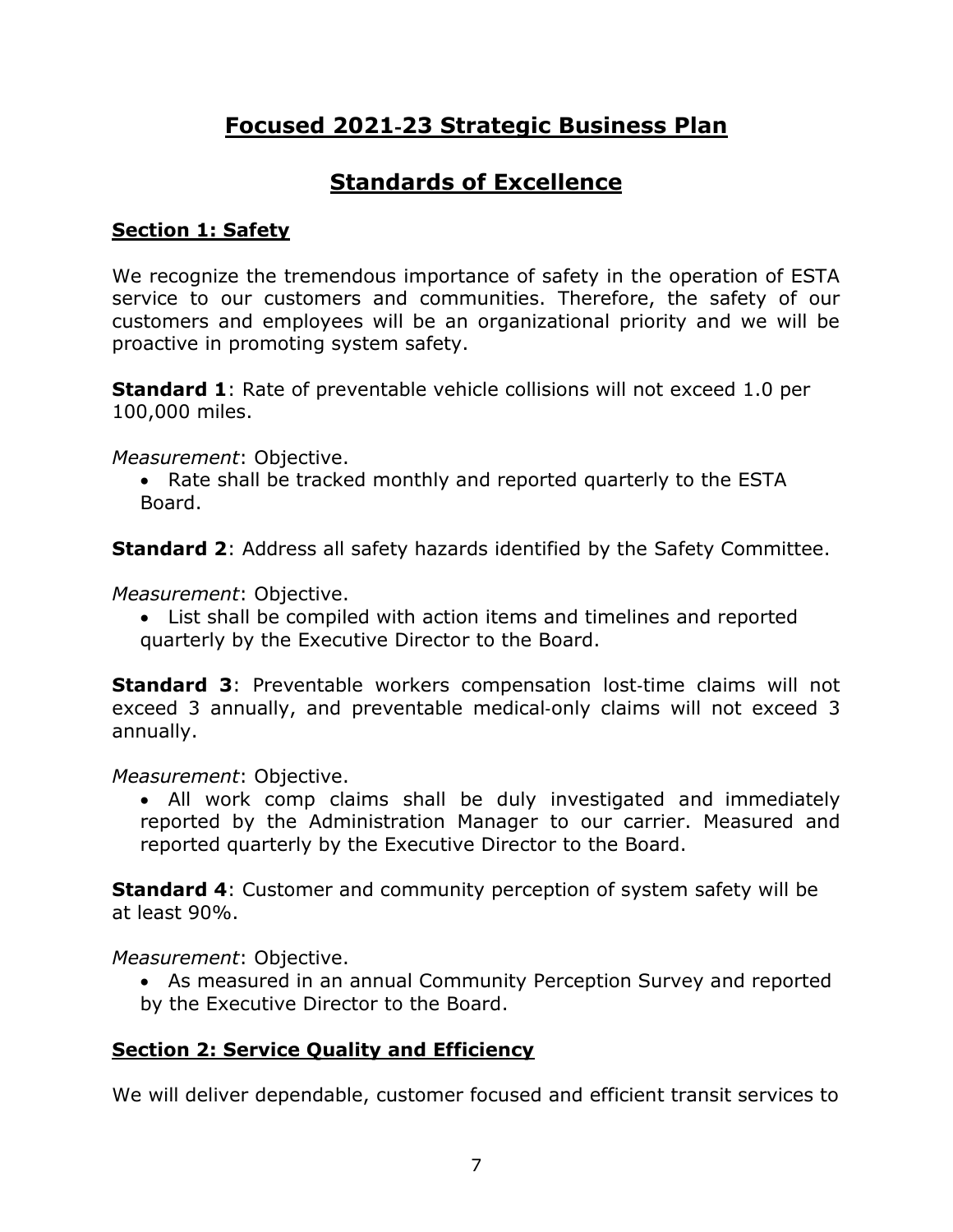# **Focused 2021**‐**23 Strategic Business Plan**

## **Standards of Excellence**

## **Section 1: Safety**

We recognize the tremendous importance of safety in the operation of ESTA service to our customers and communities. Therefore, the safety of our customers and employees will be an organizational priority and we will be proactive in promoting system safety.

**Standard 1:** Rate of preventable vehicle collisions will not exceed 1.0 per 100,000 miles.

*Measurement*: Objective.

• Rate shall be tracked monthly and reported quarterly to the ESTA Board.

**Standard 2**: Address all safety hazards identified by the Safety Committee.

*Measurement*: Objective.

• List shall be compiled with action items and timelines and reported quarterly by the Executive Director to the Board.

**Standard 3:** Preventable workers compensation lost-time claims will not exceed 3 annually, and preventable medical‐only claims will not exceed 3 annually.

*Measurement*: Objective.

• All work comp claims shall be duly investigated and immediately reported by the Administration Manager to our carrier. Measured and reported quarterly by the Executive Director to the Board.

**Standard 4**: Customer and community perception of system safety will be at least 90%.

*Measurement*: Objective.

• As measured in an annual Community Perception Survey and reported by the Executive Director to the Board.

## **Section 2: Service Quality and Efficiency**

We will deliver dependable, customer focused and efficient transit services to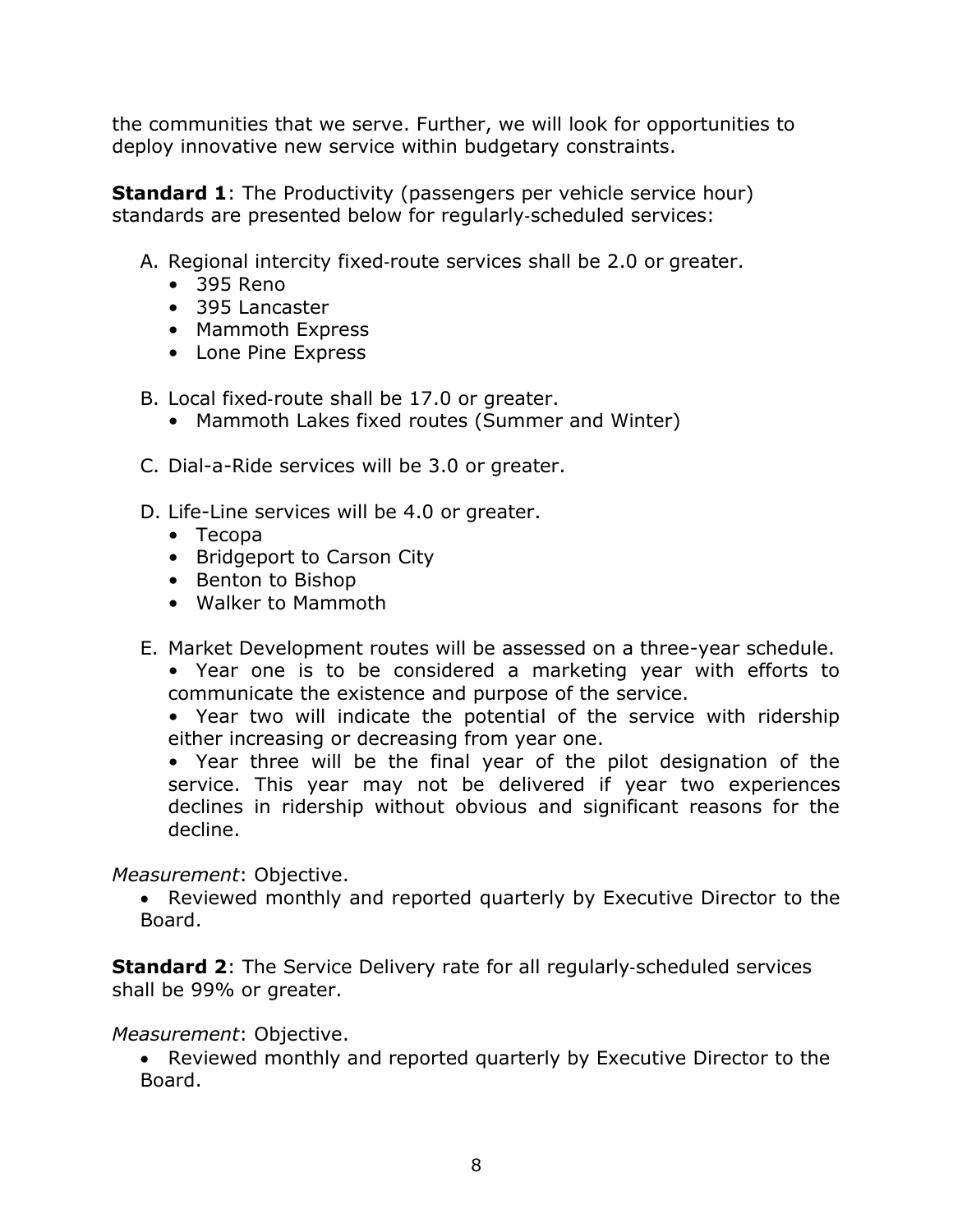the communities that we serve. Further, we will look for opportunities to deploy innovative new service within budgetary constraints.

**Standard 1:** The Productivity (passengers per vehicle service hour) standards are presented below for regularly‐scheduled services:

- A. Regional intercity fixed‐route services shall be 2.0 or greater.
	- 395 Reno
	- 395 Lancaster
	- Mammoth Express
	- Lone Pine Express
- B. Local fixed‐route shall be 17.0 or greater.
	- Mammoth Lakes fixed routes (Summer and Winter)
- C. Dial-a-Ride services will be 3.0 or greater.
- D. Life-Line services will be 4.0 or greater.
	- Tecopa
	- Bridgeport to Carson City
	- Benton to Bishop
	- Walker to Mammoth
- E. Market Development routes will be assessed on a three-year schedule.
	- Year one is to be considered a marketing year with efforts to communicate the existence and purpose of the service.
	- Year two will indicate the potential of the service with ridership either increasing or decreasing from year one.

• Year three will be the final year of the pilot designation of the service. This year may not be delivered if year two experiences declines in ridership without obvious and significant reasons for the decline.

### *Measurement*: Objective.

• Reviewed monthly and reported quarterly by Executive Director to the Board.

**Standard 2:** The Service Delivery rate for all regularly-scheduled services shall be 99% or greater.

### *Measurement*: Objective.

• Reviewed monthly and reported quarterly by Executive Director to the Board.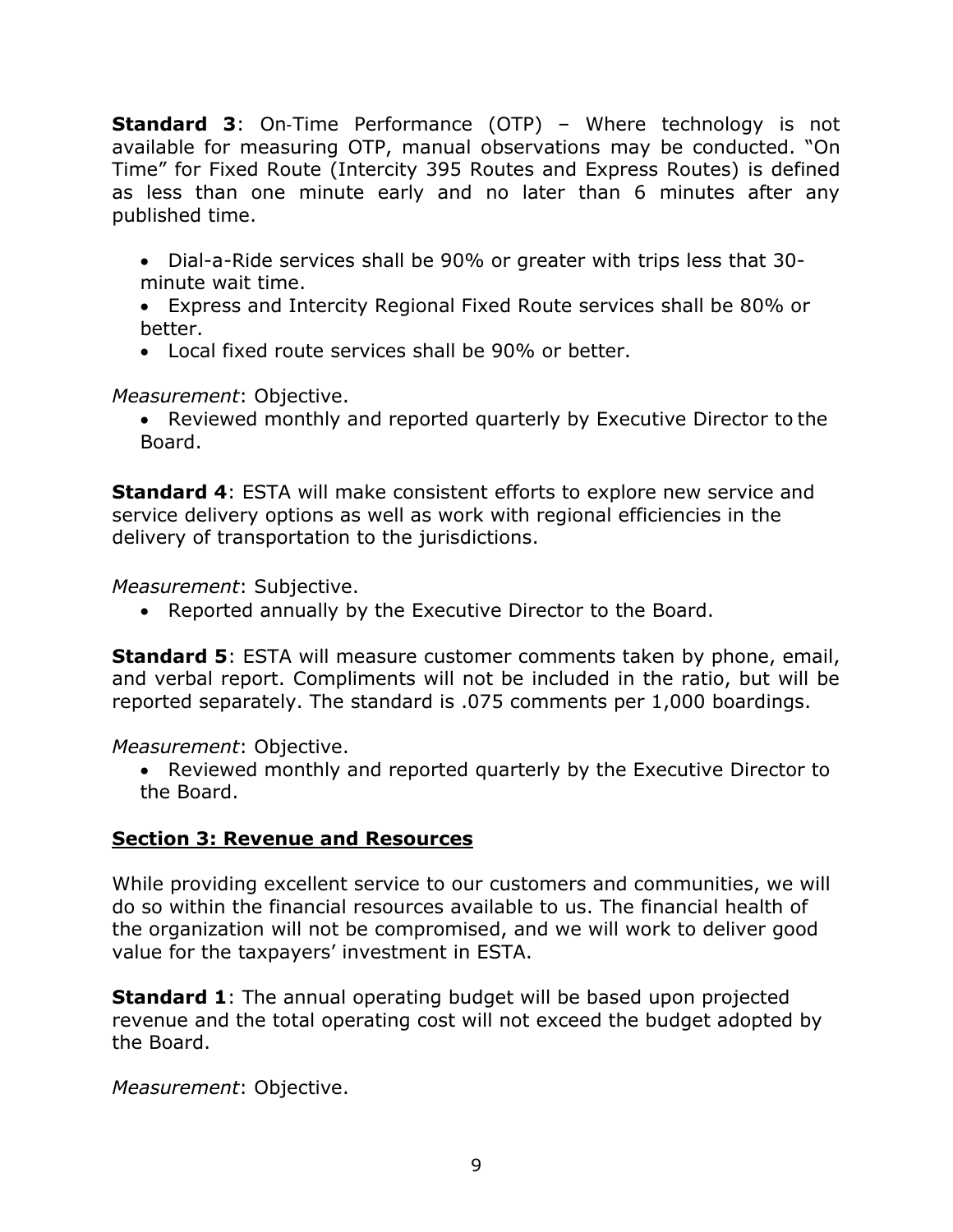**Standard 3:** On-Time Performance (OTP) – Where technology is not available for measuring OTP, manual observations may be conducted. "On Time" for Fixed Route (Intercity 395 Routes and Express Routes) is defined as less than one minute early and no later than 6 minutes after any published time.

- Dial-a-Ride services shall be 90% or greater with trips less that 30 minute wait time.
- Express and Intercity Regional Fixed Route services shall be 80% or better.
- Local fixed route services shall be 90% or better.

*Measurement*: Objective.

• Reviewed monthly and reported quarterly by Executive Director to the Board.

**Standard 4**: ESTA will make consistent efforts to explore new service and service delivery options as well as work with regional efficiencies in the delivery of transportation to the jurisdictions.

*Measurement*: Subjective.

• Reported annually by the Executive Director to the Board.

**Standard 5:** ESTA will measure customer comments taken by phone, email, and verbal report. Compliments will not be included in the ratio, but will be reported separately. The standard is .075 comments per 1,000 boardings.

*Measurement*: Objective.

• Reviewed monthly and reported quarterly by the Executive Director to the Board.

## **Section 3: Revenue and Resources**

While providing excellent service to our customers and communities, we will do so within the financial resources available to us. The financial health of the organization will not be compromised, and we will work to deliver good value for the taxpayers' investment in ESTA.

**Standard 1:** The annual operating budget will be based upon projected revenue and the total operating cost will not exceed the budget adopted by the Board.

*Measurement*: Objective.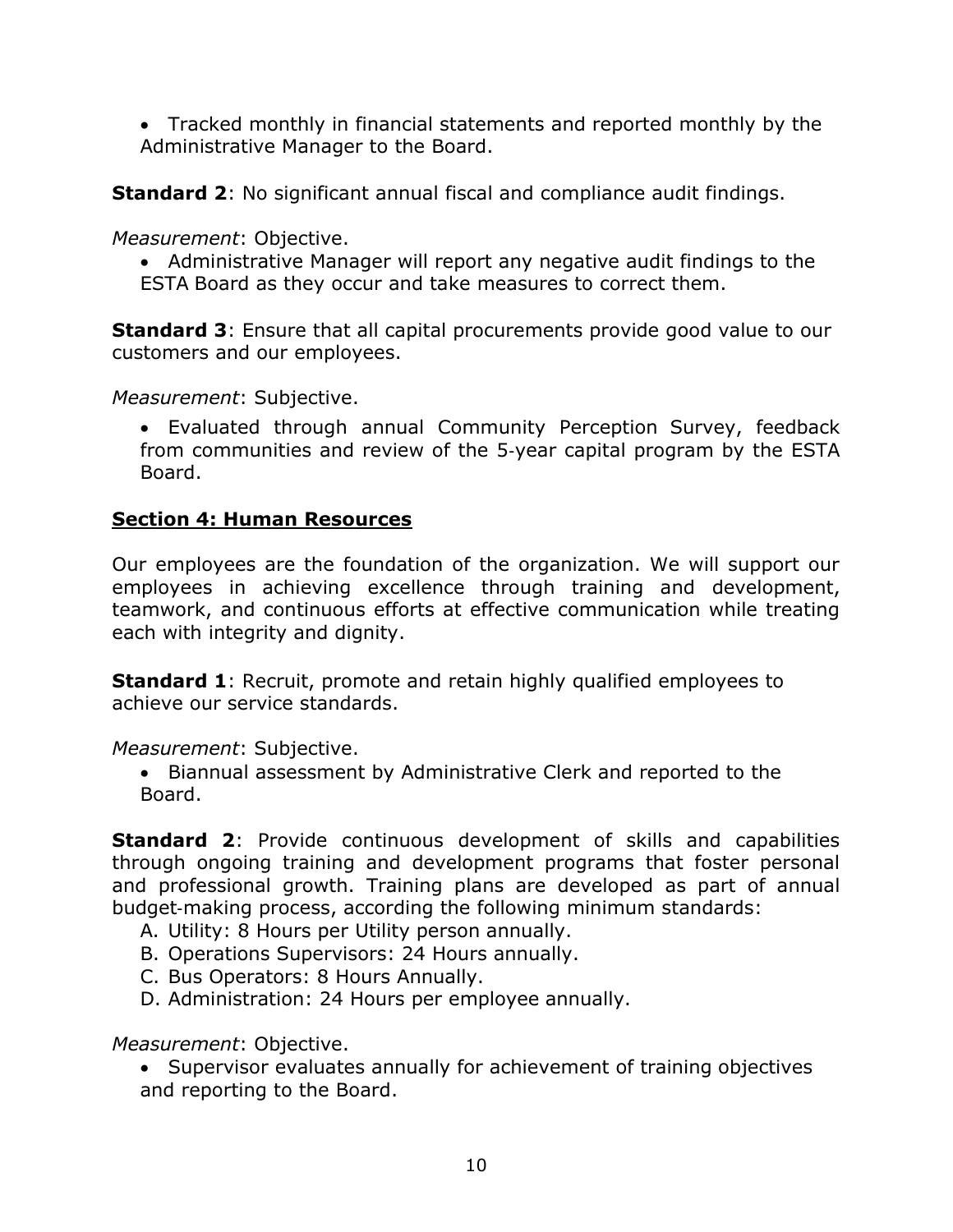• Tracked monthly in financial statements and reported monthly by the Administrative Manager to the Board.

**Standard 2:** No significant annual fiscal and compliance audit findings.

*Measurement*: Objective.

• Administrative Manager will report any negative audit findings to the ESTA Board as they occur and take measures to correct them.

**Standard 3:** Ensure that all capital procurements provide good value to our customers and our employees.

*Measurement*: Subjective.

• Evaluated through annual Community Perception Survey, feedback from communities and review of the 5‐year capital program by the ESTA Board.

## **Section 4: Human Resources**

Our employees are the foundation of the organization. We will support our employees in achieving excellence through training and development, teamwork, and continuous efforts at effective communication while treating each with integrity and dignity.

**Standard 1:** Recruit, promote and retain highly qualified employees to achieve our service standards.

*Measurement*: Subjective.

• Biannual assessment by Administrative Clerk and reported to the Board.

**Standard 2:** Provide continuous development of skills and capabilities through ongoing training and development programs that foster personal and professional growth. Training plans are developed as part of annual budget‐making process, according the following minimum standards:

- A. Utility: 8 Hours per Utility person annually.
- B. Operations Supervisors: 24 Hours annually.
- C. Bus Operators: 8 Hours Annually.
- D. Administration: 24 Hours per employee annually.

*Measurement*: Objective.

• Supervisor evaluates annually for achievement of training objectives and reporting to the Board.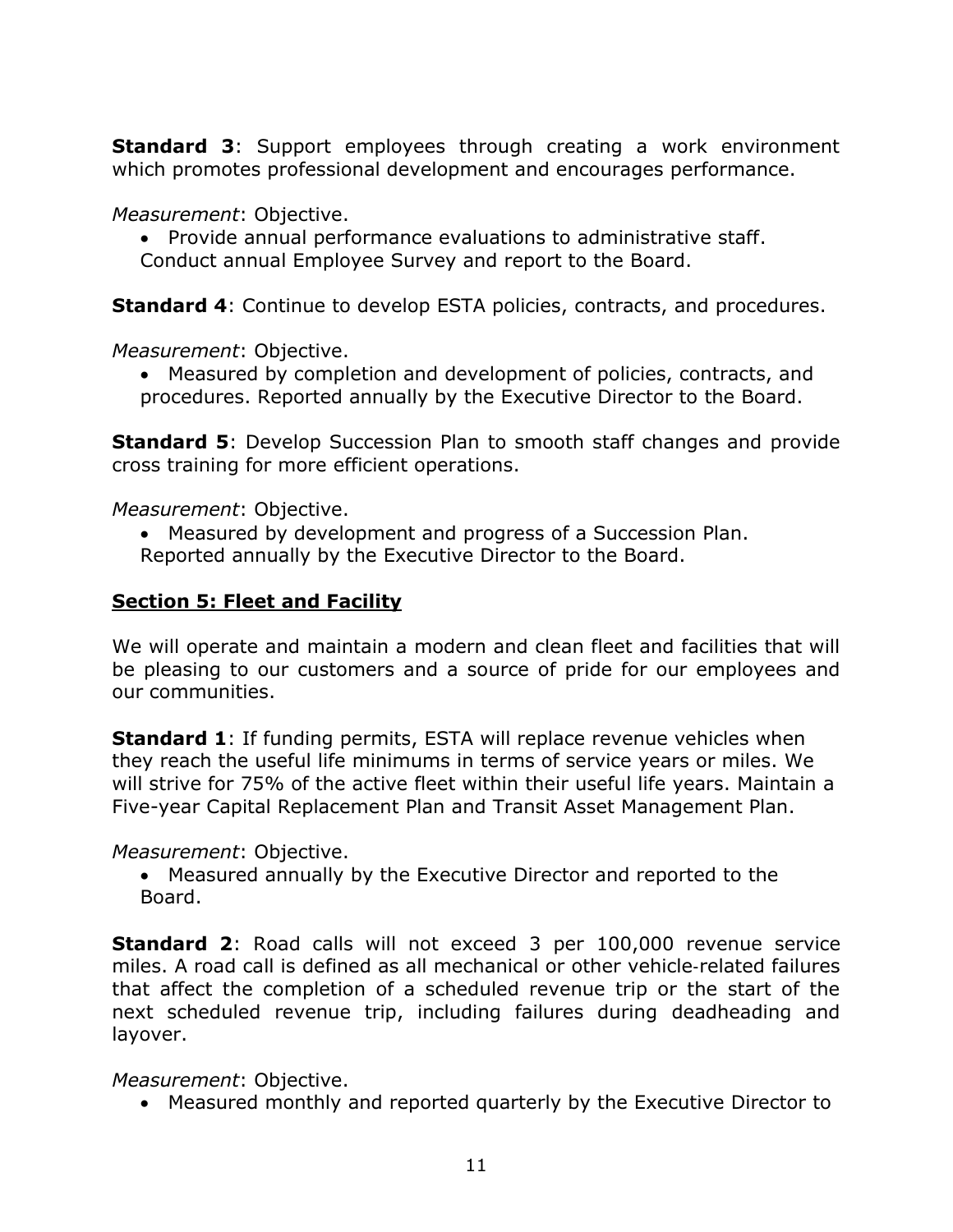**Standard 3**: Support employees through creating a work environment which promotes professional development and encourages performance.

*Measurement*: Objective.

• Provide annual performance evaluations to administrative staff. Conduct annual Employee Survey and report to the Board.

**Standard 4:** Continue to develop ESTA policies, contracts, and procedures.

*Measurement*: Objective.

• Measured by completion and development of policies, contracts, and procedures. Reported annually by the Executive Director to the Board.

**Standard 5:** Develop Succession Plan to smooth staff changes and provide cross training for more efficient operations.

*Measurement*: Objective.

• Measured by development and progress of a Succession Plan. Reported annually by the Executive Director to the Board.

#### **Section 5: Fleet and Facility**

We will operate and maintain a modern and clean fleet and facilities that will be pleasing to our customers and a source of pride for our employees and our communities.

**Standard 1:** If funding permits, ESTA will replace revenue vehicles when they reach the useful life minimums in terms of service years or miles. We will strive for 75% of the active fleet within their useful life years. Maintain a Five-year Capital Replacement Plan and Transit Asset Management Plan.

#### *Measurement*: Objective.

• Measured annually by the Executive Director and reported to the Board.

**Standard 2**: Road calls will not exceed 3 per 100,000 revenue service miles. A road call is defined as all mechanical or other vehicle‐related failures that affect the completion of a scheduled revenue trip or the start of the next scheduled revenue trip, including failures during deadheading and layover.

*Measurement*: Objective.

• Measured monthly and reported quarterly by the Executive Director to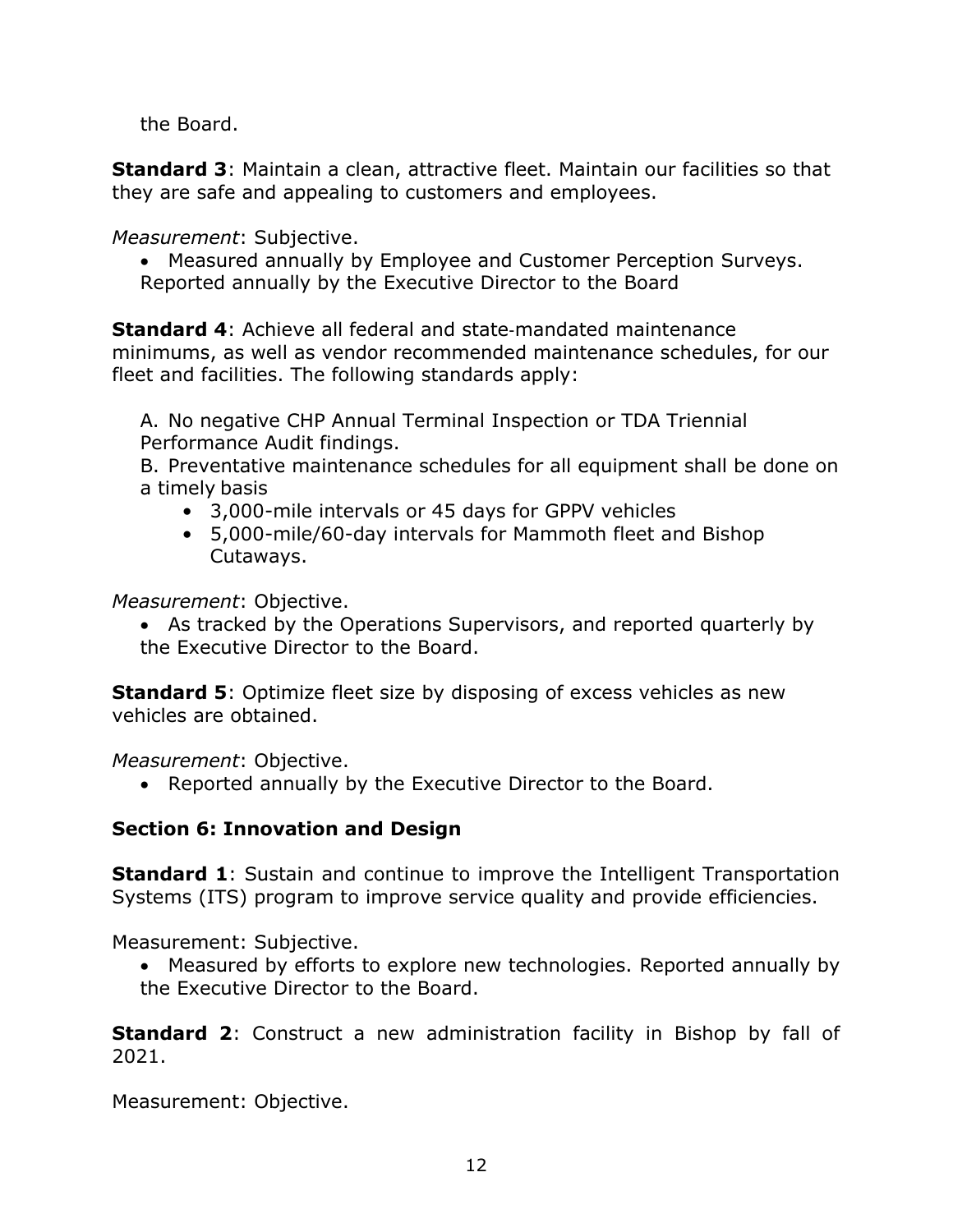the Board.

**Standard 3**: Maintain a clean, attractive fleet. Maintain our facilities so that they are safe and appealing to customers and employees.

*Measurement*: Subjective.

• Measured annually by Employee and Customer Perception Surveys. Reported annually by the Executive Director to the Board

**Standard 4**: Achieve all federal and state‐mandated maintenance minimums, as well as vendor recommended maintenance schedules, for our fleet and facilities. The following standards apply:

A. No negative CHP Annual Terminal Inspection or TDA Triennial Performance Audit findings.

B. Preventative maintenance schedules for all equipment shall be done on a timely basis

- 3,000-mile intervals or 45 days for GPPV vehicles
- 5,000-mile/60-day intervals for Mammoth fleet and Bishop Cutaways.

*Measurement*: Objective.

• As tracked by the Operations Supervisors, and reported quarterly by the Executive Director to the Board.

**Standard 5**: Optimize fleet size by disposing of excess vehicles as new vehicles are obtained.

*Measurement*: Objective.

• Reported annually by the Executive Director to the Board.

## **Section 6: Innovation and Design**

**Standard 1:** Sustain and continue to improve the Intelligent Transportation Systems (ITS) program to improve service quality and provide efficiencies.

Measurement: Subjective.

• Measured by efforts to explore new technologies. Reported annually by the Executive Director to the Board.

**Standard 2:** Construct a new administration facility in Bishop by fall of 2021.

Measurement: Objective.